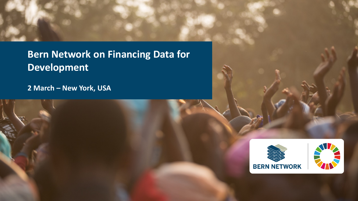**THE BEAN NETWORK ON FINANCING Data for**  $\begin{bmatrix} 1 & 0 \\ 0 & 1 \end{bmatrix}$ **A GLOBAL ALLIANCE TO STRENGTHEN Development**

**2 March – New York, USA** 

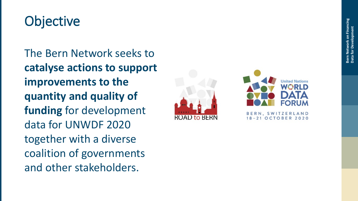## **Objective**

The Bern Network seeks to **catalyse actions to support improvements to the quantity and quality of funding** for development data for UNWDF 2020 together with a diverse coalition of governments and other stakeholders .



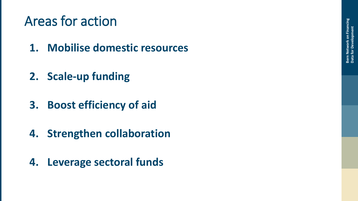## Areas for action

- **1. Mobilise domestic resources**
- **2. Scale -up funding**
- **3. Boost efficiency of aid**
- **4. Strengthen collaboration**
- **4. Leverage sectoral funds**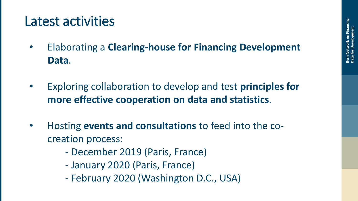## Latest activities

- Elaborating a **Clearing-house for Financing Development Data**.
- Exploring collaboration to develop and test **principles for more effective cooperation on data and statistics**.
- Hosting **events and consultations** to feed into the cocreation process:
	- December 2019 (Paris, France)
	- January 2020 (Paris, France)
	- February 2020 (Washington D.C., USA)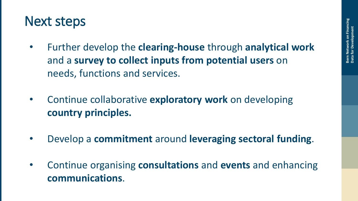## Next steps

- Further develop the **clearing-house** through **analytical work** and a **survey to collect inputs from potential users** on needs, functions and services.
- Continue collaborative **exploratory work** on developing **country principles.**
- Develop a **commitment** around **leveraging sectoral funding**.
- Continue organising **consultations** and **events** and enhancing **communications**.